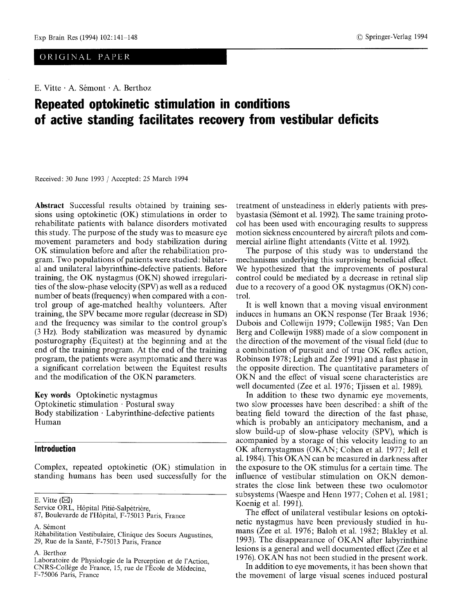## ORIGINAL PAPER

E. Vitte  $\cdot$  A. Sémont  $\cdot$  A. Berthoz

# **Repeated optokinetic stimulation in conditions of active standing facilitates recovery from vestibular deficits**

Received: 30 June 1993 / Accepted: 25 March 1994

Abstraet Successful results obtained by training sessions using optokinetic (OK) stimulations in order to rehabilitate patients with balance disorders motivated this study. The purpose of the study was to measure eye movement parameters and body stabilization during OK stimulation before and after the rehabilitation program. Two populations of patients were studied: bilateral and unilateral labyrinthine-defective patients. Before training, the OK nystagmus (OKN) showed irregularities of the slow-phase velocity (SPV) as well as a reduced number of beats (frequency) when compared with a control group of age-matched healthy volunteers. After training, the SPV became more regular (decrease in SD) and the frequency was similar to the control group's (3 Hz). Body stabilization was measured by dynamic posturography (Equitest) at the beginning and at the end of the training program. At the end of the training program, the patients were asymptomatic and there was a significant correlation between the Equitest results and the modification of the OKN parameters.

Key words Optokinetic nystagmus Optokinetic stimulation  $\cdot$  Postural sway Body stabilization - Labyrinthine-defective patients Human

## **Introduction**

Complex, repeated optokinetic (OK) stimulation in standing humans has been used successfully for the

E. Vitte  $(\boxtimes)$ 

A. Sémont

A. Berthoz

treatment of unsteadiness in elderly patients with presbyastasia (Sémont et al. 1992). The same training protocol has been used with encouraging results to suppress motion sickness encountered by aircraft pilots and commercial airline flight attendants (Vitte et al. 1992).

The purpose of this study was to understand the mechanisms underlying this surprising beneficial effect. We hypothesized that the improvements of postural control could be mediated by a decrease in retinal slip due to a recovery of a good OK nystagmus (OKN) control.

It is well known that a moving visual environment induces in humans an OKN response (Ter Braak 1936; Dubois and Collewijn 1979; Collewijn 1985; Van Den Berg and Collewijn 1988) made of a slow component in the direction of the movement of the visual field (due to a combination of pursuit and of true OK reflex action, Robinson 1978; Leigh and Zee 1991) and a fast phase in the opposite direction. The quantitative parameters of OKN and the effect of visual scene characteristics are well documented (Zee et al. 1976; Tjissen et al. 1989).

In addition to these two dynamic eye movements, two slow processes have been described: a shift of the beating field toward the direction of the fast phase, which is probably an anticipatory mechanism, and a slow build-up of slow-phase velocity (SPV), which is acompanied by a storage of this velocity leading to an OK afternystagmus (OKAN; Cohen et al. 1977; Jell et al. 1984). This OKAN can be measured in darkness after the exposure to the OK stimulus for a certain time. The influence of vestibular stimulation on OKN demonstrates the close link between these two oculomotor subsystems (Waespe and Henn 1977; Cohen et al. 1981; Koenig et al. 1991).

The effect of unilateral vestibular lesions on optokinetic nystagmus have been previously studied in humans (Zee et al. 1976; Baloh et al. 1982; Blakley et al. 1993). The disappearance of OKAN after labyrinthine lesions is a general and well documented effect (Zee et al 1976). OKAN has not been studied in the present work.

In addition to eye movements, it has been shown that the movement of large visual scenes induced postural

Service ORL, Hôpital Pitié-Salpétrière,

<sup>87,</sup> Boulevarde de l'Hôpital, F-75013 Paris, France

R6habilitation Vestibulaire, Clinique des Soeurs Augustines, 29, Rue de la Santé, F-75013 Paris, France

Laboratoire de Physiologie de la Perception et de l'Action. CNRS-Coll6ge de France, 15, rue de l'Ecole de M6decine, F-75006 Paris, France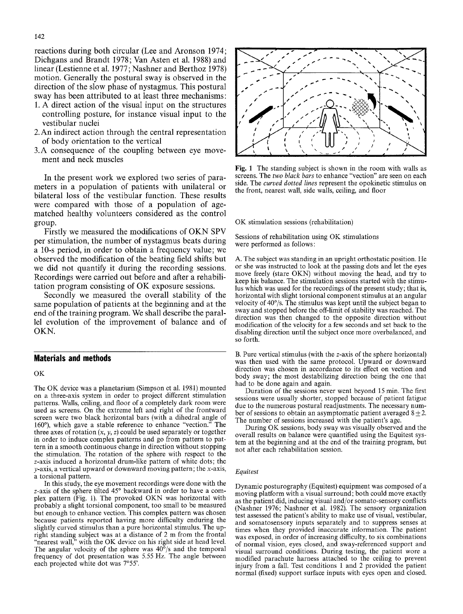reactions during both circular (Lee and Aronson 1974; Dichgans and Brandt 1978; Van Asten et al. 1988) and linear (Lestienne et al. 1977; Nashner and Berthoz 1978) motion. Generally the postural sway is observed in the direction of the slow phase of nystagmus. This postural sway has been attributed to at least three mechanisms:

- 1. A direct action of the visual input on the structures controlling posture, for instance visual input to the vestibular nuclei
- 2. An indirect action through the central representation of body orientation to the vertical
- 3.A consequence of the coupling between eye movement and neck muscles

In the present work we explored two series of parameters in a population of patients with unilateral or bilateral loss of the vestibular function. These results were compared with those of a population of agematched healthy volunteers considered as the control group.

Firstly we measured the modifications of OKN SPV per stimulation, the number of nystagmus beats during a 10-s period, in order to obtain a frequency value; we observed the modification of the beating field shifts but we did not quantify it during the recording sessions. Recordings were carried out before and after a rehabilitation program consisting of OK exposure sessions.

Secondly we measured the overall stability of the same population of patients at the beginning and at the end of the training program. We shall describe the parallel evolution of the improvement of balance and of OKN.

### **Materials and methods**

#### OK

The OK device was a planetarium (Simpson et al. 1981) mounted on a three-axis system in order to project different stimulation patterns. Walls, ceiling, and floor of a completely dark room were used as screens. On the extreme left and right of the frontward screen were two black horizontal bars (with a dihedral angle of 160°), which gave a stable reference to enhance "vection." The 160 $^{\circ}$ ), which gave a stable reference to enhance "vection." three axes of rotation  $(x, y, z)$  could be used separately or together in order to induce complex patterns and go from pattern to pattern in a smooth continuous change in direction without stopping the stimulation. The rotation of the sphere with respect to the z-axis induced a horizontal drum-like pattern of white dots; the  $y$ -axis, a vertical upward or downward moving pattern; the x-axis, a torsional pattern.

In this study, the eye movement recordings were done with the z-axis of the sphere tilted 45° backward in order to have a complex pattern (Fig. 1). The provoked OKN was horizontal with probably a slight torsional component, too small to be measured but enough to enhance vection. This complex pattern was chosen because patients reported having more difficulty enduring the slightly curved stimulus than a pure horizontal stimulus. The upright standing subject was at a distance of 2 m from the frontal "nearest wall," with the OK device on his right side at head level. The angular velocity of the sphere was  $40^{\circ}/s$  and the temporal frequency of dot presentation was 5.55 Hz. The angle between each projected white dot was 7°55'.



Fig. 1 The standing subject is shown in the room with walls as screens. The *two black bars* to enhance "vection" are seen on each side. The *curved dotted lines* represent the opokinetic stimulus on the front, nearest wall, side walls, ceiling, and floor

OK stimulation sessions (rehabilitation)

Sessions of rehabilitation using OK stimulations were performed as follows:

A. The subject was standing in an upright orthostatic position. He or she was instructed to look at the passing dots and let the eyes move freely (stare OKN) without moving the head, and try to keep his balance. The stimulation sessions started with the stimulus which was used for the recordings of the present study; that is, horizontal with slight torsional component stimulus at an angular velocity of  $40^{\circ}/s$ . The stimulus was kept until the subject began to sway and stopped before the off-limit of stability was reached. The direction was then changed to the opposite direction without modification of the velocity for a few seconds and set back to the disabling direction until the subject once more overbalanced, and so forth.

B. Pure vertical stimulus (with the z-axis of the sphere horizontal) was then used with the same protocol. Upward or downward direction was chosen in accordance to its effect on vection and body sway; the most destabilizing direction being the one that had to be done again and again.

Duration of the sessions never went beyond 15 min. The first sessions were usually shorter, stopped because of patient fatigue due to the numerous postural readjustments. The necessary number of sessions to obtain an asymptomatic patient averaged  $8 \pm 2$ . The number of sessions increased with the patient's age.

During OK sessions, body sway was visually observed and the overall results on balance were quantified using the Equitest system at the beginning and at the end of the training program, but not after each rehabilitation session.

#### *Equitest*

Dynamic posturography (Equitest) equipment was composed of a moving platform with a visual surround; both could move exactly as the patient did, inducing visual and/or somato-sensory conflicts (Nashner 1976; Nashner et al. 1982). The sensory organization test assessed the patient's ability to make use of visual, vestibular, and somatosensory inputs separately and to suppress senses at times when they provided inaccurate information. The patient was exposed, in order of increasing difficulty, to six combinations of normal vision, eyes closed, and sway-referenced support and visual surround conditions. During testing, the patient wore a modified parachute harness attached to the ceiling to prevent injury from a fall. Test conditions 1 and 2 provided the patient normal (fixed) support surface inputs with eyes open and closed.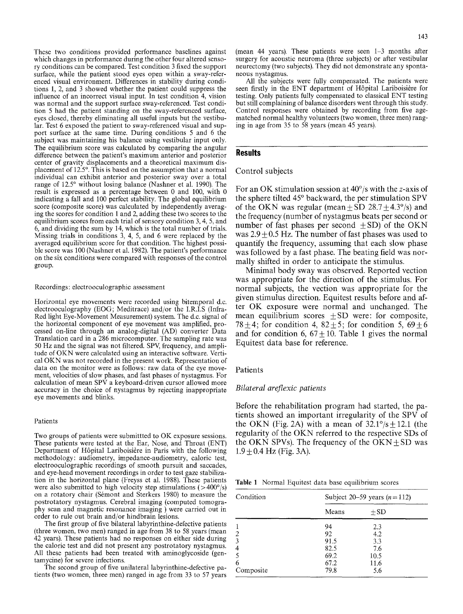These two conditions provided performance baselines against which changes in performance during the other four altered sensory conditions can be compared. Test condition 3 fixed the support surface, while the patient stood eyes open within a sway-referenced visual environment. Differences in stability during conditions 1, 2, and 3 showed whether the patient could suppress the influence of an incorrect visual input. In test condition 4, vision was normal and the support surface sway-referenced. Test condition 5 had the patient standing on the sway-referenced surface, eyes closed, thereby eliminating all useful inputs but the vestibular. Test 6 exposed the patient to sway-referenced visual and support surface at the same time. During conditions 5 and 6 the subject was maintaining his balance using vestibular input only. The equilibrium score was calculated by comparing the angular difference between the patient's maximum anterior and posterior center of gravity displacements and a theoretical maximum displacement of 12.5°. This is based on the assumption that a normal individual can exhibit anterior and posterior sway over a total range of 12.5° without losing balance (Nashner et al. 1990). The result is expressed as a percentage between 0 and 100, with 0 indicating a fall and 100 perfect stability. The global equilibrium score (composite score) was calculated by independently averaging the scores for condition 1 and 2, adding these two scores to the equilibrium scores from each trial of sensory condition 3, 4, 5, and 6, and dividing the sum by 14, which is the total number of trials. Missing trials in conditions 3, 4, 5, and 6 were replaced by the averaged equilibrium score for that condition. The highest possible score was 100 (Nashner et al. 1982). The patient's performance on the six conditions were compared with responses of the control group.

#### Recordings: electrooculographic assessment

Horizontal eye movements were recorded using bitemporal d.c. electrooculography (EOG; Meditrace) and/or the I.R.I.S (Infra-Red light Eye-Movement Measurement) system. The d.c. signal of the horizontal component of eye movement was amplified, processed on-line through an analog-digital (AD) converter Data Translation card in a 286 microcomputer. The sampling rate was 50 Hz and the signal was not filtered. SPV, frequency, and amplitude of OKN were calculated using an interactive software. Vertical OKN was not recorded in the present work. Representation of data on the monitor were as follows: raw data of the eye movement, velocities of slow phases, and fast phases of nystagmus. For calculation of mean SPV a keyboard-driven cursor allowed more accuracy in the choice of nystagmus by rejecting inappropriate eye movements and blinks.

#### Patients

Two groups of patients were submittted to OK exposure sessions. These patients were tested at the Ear, Nose, and Throat (ENT) Department of Hôpital Lariboisière in Paris with the following methodology: audiometry, impedance-audiometry, caloric test, electrooculographic recordings of smooth pursuit and saccades, and eye-head movement recordings in order to test gaze stabilization in the horizontal plane (Freyss et al. 1988). These patients were also submitted to high velocity step stimulations ( $>400^{\circ}/s$ ) on a rotatory chair (Sémont and Sterkers 1980) to measure the postrotatory nystagmus. Cerebral imaging (computed tomography scan and magnetic resonance imaging ) were carried out in order to rule out brain and/or hindbrain lesions.

The first group of five bilateral labyrinthine-defective patients (three women, two men) ranged in age from 38 to 58 years (mean 42 years). These patients had no responses on either side during the caloric test and did not present any postrotatory nystagmus. All these patients had been treated with aminoglycoside (gentamycine) for severe infections.

The second group of five unilateral labyrinthine-defective patients (two women, three men) ranged in age from 33 to 57 years (mean 44 years). These patients were seen 1-3 months after surgery for acoustic neuroma (three subjects) or after vestibular neurectomy (two subjects). They did not demonstrate any spontaneous nystagmus.

All the subjects were fully compensated. The patients were seen firstly in the ENT department of Hôpital Lariboisière for testing. Only patients fully compensated to classical ENT testing but still complaining of balance disorders went through this study. Control responses were obtained by recording from five agematched normal healthy volunteers (two women, three men) ranging in age from 35 to 58 years (mean 45 years).

#### **Results**

#### Control subjects

For an OK stimulation session at  $40^{\circ}/s$  with the z-axis of the sphere tilted  $45^{\circ}$  backward, the per stimulation SPV of the OKN was regular (mean  $\pm$  SD 28.7 $\pm$ 4.3°/s) and the frequency (number of nystagmus beats per second or number of fast phases per second  $+ SD$ ) of the OKN was  $2.9 \pm 0.5$  Hz. The number of fast phases was used to quantify the frequency, assuming that each slow phase was followed by a fast phase. The beating field was normally shifted in order to anticipate the stimulus.

Minimal body sway was observed. Reported vection was appropriate for the direction of the stimulus. For normal subjects, the vection was appropriate for the given stimulus direction. Equitest results before and after OK exposure were normal and unchanged. The mean equilibrium scores  $\pm SD$  were: for composite, 78 $\pm$ 4; for condition 4, 82 $\pm$ 5; for condition 5, 69 $\pm$ 6 and for condition 6,  $67+10$ . Table 1 gives the normal Equitest data base for reference.

#### **Patients**

#### *Bilateral areflexic patients*

Before the rehabilitation program had started, the patients showed an important irregularity of the SPV of the OKN (Fig. 2A) with a mean of  $32.1^{\circ}/s \pm 12.1$  (the regularity of the OKN referred to the respective SDs of the OKN SPVs). The frequency of the  $OKN + SD$  was  $1.9 \pm 0.4$  Hz (Fig. 3A).

Table 1 Normal Equitest data base equilibrium scores

| Condition | Subject 20–59 years $(n=112)$ |       |  |
|-----------|-------------------------------|-------|--|
|           | Means                         | $+SD$ |  |
|           | 94                            | 2.3   |  |
|           | 92                            | 4.2   |  |
|           | 91.5                          | 3.3   |  |
|           | 82.5                          | 7.6   |  |
|           | 69.2                          | 10.5  |  |
| 6         | 67.2                          | 11.6  |  |
| Composite | 79.8                          | 5.6   |  |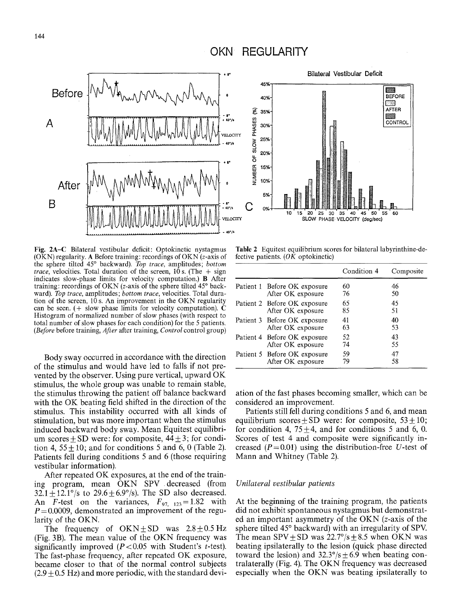# **OKN REGULARITY**



**Fig.** 2A-C Bilateral vestibular deficit: Optokinetic nystagmus (OKN) regularity. A Before training: recordings of OKN ( $z$ -axis of the sphere tilted 45 ~ backward). *Top trace,* amplitudes; *bottom trace*, velocities. Total duration of the screen,  $10 s$ . (The  $+ sign$ indicates slow-phase limits for velocity computation.) B After training: recordings of OKN ( $z$ -axis of the sphere tilted  $45^\circ$  backward). *Top trace,* amplitudes; *bottom trace,* velocities. Total duration of the screen, 10 s. An improvement in the OKN regularity can be seen. (+ slow phase limits for velocity computation).  $\dot{\mathbf{C}}$ Histogram of normalized number of slow phases (with respect to total number of slow phases for each condition) for the 5 patients. *(Before* before training, *After* after training, *Control* control group)

Body sway occurred in accordance with the direction of the stimulus and would have led to falls if not prevented by the observer. Using pure vertical, upward OK stimulus, the whole group was unable to remain stable, the stimulus throwing the patient off balance backward with the OK beating field shifted in the direction of the stimulus. This instability occurred with all kinds of stimulation, but was more important when the stimulus induced backward body sway. Mean Equitest equilibrium scores + SD were: for composite,  $44 \pm 3$ ; for condition 4,  $55 \pm 10$ ; and for conditions 5 and 6, 0 (Table 2). Patients fell during conditions 5 and 6 (those requiring vestibular information).

After repeated OK exposures, at the end of the training program, mean OKN SPV .decreased (from  $32.1 + 12.1^{\circ}/s$  to  $29.6 + 6.9^{\circ}/s$ ). The SD also decreased. An F-test on the variances,  $F_{97, 123} = 1.82$  with  $P = 0.0009$ , demonstrated an improvement of the regularity of the OKN.

The frequency of  $OKN \pm SD$  was  $2.8 \pm 0.5$  Hz (Fig. 3B). The mean value of the OKN frequency was significantly improved  $(P<0.05$  with Student's t-test). The fast-phase frequency, after repeated OK exposure, became closer to that of the normal control subjects  $(2.9 \pm 0.5 \text{ Hz})$  and more periodic, with the standard devi-



**Table** 2 Equitest equilibrium scores for bilateral labyrinthine-defective patients.  $(OK)$  optokinetic)

|                              | Condition 4 | Composite |
|------------------------------|-------------|-----------|
| Patient 1 Before OK exposure | 60          | 46        |
| After OK exposure            | 76          | 50        |
| Patient 2 Before OK exposure | 65          | 45        |
| After OK exposure            | 85          | 51        |
| Patient 3 Before OK exposure | 41          | 40        |
| After OK exposure            | 63          | 53        |
| Patient 4 Before OK exposure | 52          | 43        |
| After OK exposure            | 74          | 55        |
| Patient 5 Before OK exposure | 59          | 47        |
| After OK exposure            | 79          | 58        |

ation of the fast phases becoming smaller, which can be considered an improvement.

Patients still fell during conditions 5 and 6, and mean equilibrium scores  $\pm$  SD were: for composite, 53  $\pm$  10; for condition 4,  $75\pm4$ , and for conditions 5 and 6, 0. Scores of test 4 and composite were significantly increased ( $P=0.01$ ) using the distribution-free U-test of Mann and Whitney (Table 2).

#### *Unilateral vestibular patients*

At the beginning of the training program, the patients did not exhibit spontaneous nystagmus but demonstrated an important asymmetry of the OKN (z-axis of the sphere tilted 45<sup>°</sup> backward) with an irregularity of SPV. The mean  $SPV + SD$  was  $22.7^{\circ}/s + 8.5$  when OKN was beating ipsilaterally to the lesion (quick phase directed toward the lesion) and  $32.3^{\circ}/s \pm 6.9$  when beating contralaterally (Fig. 4). The OKN frequency was decreased especially when the OKN was beating ipsilaterally to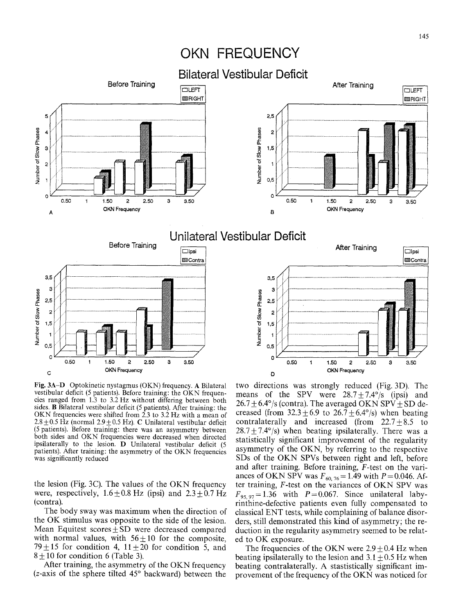# **OKN FREQUENCY**



Fig. 3A-D Optokinetic nystagmus (OKN) frequency. A Bilateral vestibular deficit (5 patients). Before training: the OKN frequencies ranged from 1.3 to 3.2 Hz without differing between both sides. B Bilateral vestibular deficit (5 patients). After training: the OKN frequencies were shifted from  $2.3$  to 3.2 Hz with a mean of  $2.8 \pm 0.5$  Hz (normal  $2.9 \pm 0.5$  Hz). C Unilateral vestibular deficit (5 patients). Before training: there was an asymmetry between both sides and OKN frequencies were decreased when directed ipsilaterally to the lesion. D Unilateral vestibular deficit (5 patients). After training: the asymmetry of the OKN frequencies was significantly reduced

the lesion (Fig. 3C). The values of the OKN frequency were, respectively,  $1.6 \pm 0.8$  Hz (ipsi) and  $2.3 + 0.7$  Hz (contra).

The body sway was maximum when the direction of the OK stimulus was opposite to the side of the lesion. Mean Equitest scores $\pm$ SD were decreased compared with normal values, with  $56 \pm 10$  for the composite, 79 $\pm$ 15 for condition 4, 11 $\pm$ 20 for condition 5, and  $8 + 10$  for condition 6 (Table 3).

After training, the asymmetry of the OKN frequency (*z*-axis of the sphere tilted  $45^\circ$  backward) between the

two directions was strongly reduced (Fig. 3D). The means of the SPV were  $28.7 + 7.4^{\circ}/s$  (ipsi) and  $26.7 \pm 6.4^{\circ}/s$  (contra). The averaged OKN SPV  $\pm$  SD decreased (from  $32.3 \pm 6.9$  to  $26.7 \pm 6.4^{\circ}/s$ ) when beating contralaterally and increased (from  $22.7\pm8.5$  to  $28.7 \pm 7.4^{\circ}/s$  when beating ipsilaterally. There was a statistically significant improvement of the regularity asymmetry of the OKN, by referring to the respective SDs of the OKN SPVs between right and left, before and after training. Before training, F-test on the variances of OKN SPV was  $F_{60, 76} = 1.49$  with  $P = 0.046$ . After training, F-test on the variances of OKN SPV was  $F_{95,97}=1.36$  with  $P=0.067$ . Since unilateral labyrinthine-defective patients even fully compensated to classical ENT tests, while complaining of balance disorders, still demonstrated this kind of asymmetry; the reduction in the regularity asymmetry seemed to be related to OK exposure.

The frequencies of the OKN were  $2.9 + 0.4$  Hz when beating ipsilaterally to the lesion and  $3.1 \pm 0.5$  Hz when beating contralaterally. A stastistically significant improvement of the frequency of the OKN was noticed for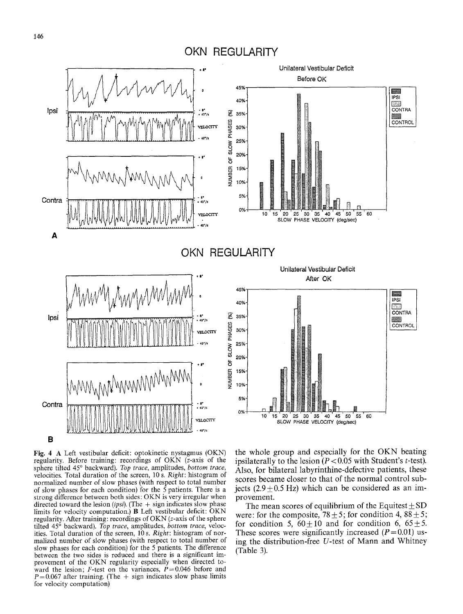# **OKN REGULARITY**



Fig. 4 A Left vestibular deficit: optokinetic nystagmus (OKN) regularity. Before training: recordings of OKN (z-axis of the sphere tilted 45° backward). Top trace, amplitudes, bottom trace, velocities. Total duration of the screen, 10 s. *Right:* histogram of normalized number of slow phases (with respect to total number of slow phases for each condition) for the  $\bar{5}$  patients. There is a strong difference between both sides: OKN is very irregular when directed toward the lesion *(ipsi)*. (The  $+$  sign indicates slow phase limits for velocity computation.) B Left vestibular deficit: OKN regularity. After training: recordings of OKN (z-axis of the sphere tilted 45<sup>°</sup> backward). *Top trace*, amplitudes, *bottom trace*, velocities. Total duration of the screen, 10 s. *Right:* histogram of normalized number of slow phases (with respect to total number of slow phases for each condition) for the 5 patients. The difference between the two sides is reduced and there is a significant improvement of the OKN regularity especially when directed toward the lesion; F-test on the variances,  $P=0.046$  before and  $P = 0.067$  after training. (The + sign indicates slow phase limits for velocity computation)

the whole group and especially for the OKN beating ipsilaterally to the lesion  $(P < 0.05$  with Student's t-test). Also, for bilateral labyrinthine-defective patients, these scores became closer to that of the normal control subjects (2.9  $\pm$  0.5 Hz) which can be considered as an improvement.

The mean scores of equilibrium of the Equitest  $\pm$  SD were: for the composite,  $78 \pm 5$ ; for condition 4,  $88 \pm 5$ ; for condition 5,  $60+10$  and for condition 6,  $65+5$ . These scores were significantly increased  $(P=0.01)$  using the distribution-free U-test of Mann and Whitney (Table 3).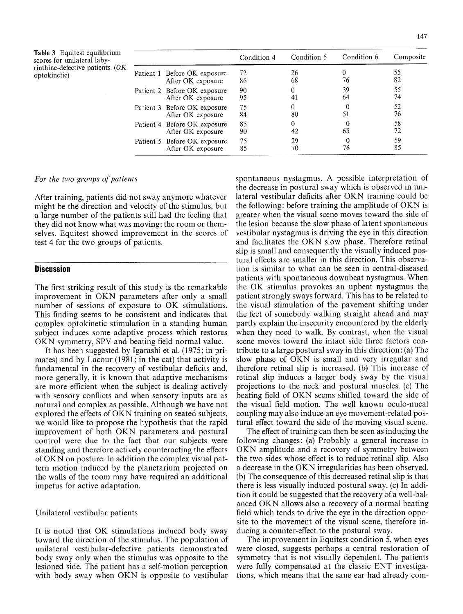Table 3 Equitest equilibrium scores for unilateral labyrinthine-defective patients. (OF optokinetic)

|                              |                              | Condition 4 | Condition 5 | Condition 6 | Composite |
|------------------------------|------------------------------|-------------|-------------|-------------|-----------|
| Patient 1 Before OK exposure |                              | 72          | 26          |             | 55        |
|                              | After OK exposure            | 86          | 68          | 76          | 82        |
| Patient 2 Before OK exposure |                              | 90          |             | 39          | 55        |
|                              | After OK exposure            | 95          |             | 64          | 74        |
|                              | Patient 3 Before OK exposure | 75          |             |             | 52        |
|                              | After OK exposure            | 84          | 80          | 51          | 76        |
|                              | Patient 4 Before OK exposure | 85          |             |             | 58        |
|                              | After OK exposure            | 90          | 42          | 65          | 72        |
|                              | Patient 5 Before OK exposure | 75          | 29          |             | 59        |
|                              | After OK exposure            | 85          | 70          | 76          | 85        |

#### *For the two groups of patients*

After training, patients did not sway anymore whatever might be the direction and velocity of the stimulus, but a large number of the patients still had the feeling that they did not know what was moving: the room or themselves. Equitest showed improvement in the scores of test 4 for the two groups of patients.

#### **Discussion**

The first striking result of this study is the remarkable improvement in OKN parameters after only a small number of sessions of exposure to OK stimulations. This finding seems to be consistent and indicates that complex optokinetic stimulation in a standing human subject induces some adaptive process which restores OKN symmetry, SPV and beating field normal value.

It has been suggested by Igarashi et al. (1975; in primates) and by Lacour (1981; in the cat) that activity is fundamental in the recovery of vestibular deficits and, more generally, it is known that adaptive mechanisms are more efficient when the subject is dealing actively with sensory conflicts and when sensory inputs are as natural and complex as possible. Although we have not explored the effects of OKN training on seated subjects, we would like to propose the hypothesis that the rapid improvement of both OKN parameters and postural control were due to the fact that our subjects were standing and therefore actively counteracting the effects of OKN on posture. In addition the complex visual pattern motion induced by the planetarium projected on the walls of the room may have required an additional impetus for active adaptation.

#### Unilateral vestibular patients

It is noted that OK stimulations induced body sway toward the direction of the stimulus. The population of unilateral vestibular-defective patients demonstrated body sway only when the stimulus was opposite to the lesioned side. The patient has a self-motion perception with body sway when OKN is opposite to vestibular

spontaneous nystagmus. A possible interpretation of the decrease in postural sway which is observed in unilateral vestibular deficits after OKN training could be the following: before training the amplitude of OKN is greater when the visual scene moves toward the side of the lesion because the slow phase of latent spontaneous vestibular nystagmus is driving the eye in this direction and facilitates the OKN slow phase. Therefore retinal slip is small and consequently the visually induced postural effects are smaller in this direction. This observation is similar to what can be seen in central-diseased patients with spontaneous downbeat nystagmus. When the OK stimulus provokes an upbeat nystagmus the patient strongly sways forward. This has to be related to the visual stimulation of the pavement shifting under the feet of somebody walking straight ahead and may partly explain the insecurity encountered by the elderly when they need to walk. By contrast, when the visual scene moves toward the intact side three factors contribute to a large postural sway in this direction: (a) The slow phase of OKN is small and very irregular and therefore retinal slip is increased. (b) This increase of retinal slip induces a larger body sway by the visual projections to the neck and postural muscles. (c) The beating field of OKN seems shifted toward the side of the visual field motion. The well known oculo-nucal coupling may also induce an eye movement-related postural effect toward the side of the moving visual scene.

The effect of training can then be seen as inducing the following changes: (a) Probably a general increase in OKN amplitude and a recovery of symmetry between the two sides whose effect is to reduce retinal slip. Also a decrease in the OKN irregularities has been observed. (b) The consequence of this decreased retinal slip is that there is less visually induced postural sway. (c) In addition it could be suggested that the recovery of a well-balanced OKN allows also a recovery of a normal beating field which tends to drive the eye in the direction opposite to the movement of the visual scene, therefore inducing a counter-effect to the postural sway.

The improvement in Equitest condition 5, when eyes were closed, suggests perhaps a central restoration of symmetry that is not visually dependent. The patients were fully compensated at the classic ENT investigations, which means that the sane ear had already com